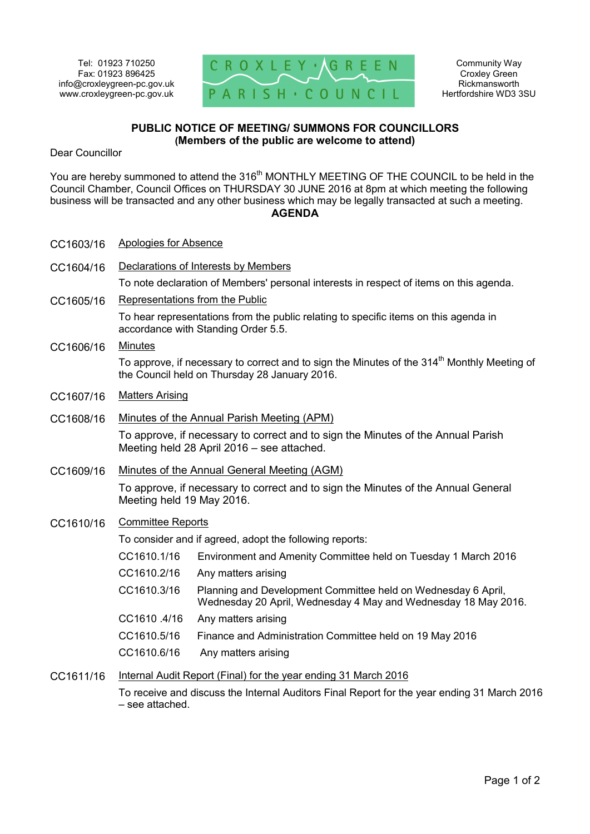

# **PUBLIC NOTICE OF MEETING/ SUMMONS FOR COUNCILLORS (Members of the public are welcome to attend)**

Dear Councillor

You are hereby summoned to attend the 316<sup>th</sup> MONTHLY MEETING OF THE COUNCIL to be held in the Council Chamber, Council Offices on THURSDAY 30 JUNE 2016 at 8pm at which meeting the following business will be transacted and any other business which may be legally transacted at such a meeting. **AGENDA** 

| CC1603/16 | <b>Apologies for Absence</b>                                                                                                                             |                                                                                                                                 |
|-----------|----------------------------------------------------------------------------------------------------------------------------------------------------------|---------------------------------------------------------------------------------------------------------------------------------|
| CC1604/16 | Declarations of Interests by Members                                                                                                                     |                                                                                                                                 |
|           | To note declaration of Members' personal interests in respect of items on this agenda.                                                                   |                                                                                                                                 |
| CC1605/16 | Representations from the Public                                                                                                                          |                                                                                                                                 |
|           | To hear representations from the public relating to specific items on this agenda in<br>accordance with Standing Order 5.5.                              |                                                                                                                                 |
| CC1606/16 | <b>Minutes</b>                                                                                                                                           |                                                                                                                                 |
|           | To approve, if necessary to correct and to sign the Minutes of the 314 <sup>th</sup> Monthly Meeting of<br>the Council held on Thursday 28 January 2016. |                                                                                                                                 |
| CC1607/16 | <b>Matters Arising</b>                                                                                                                                   |                                                                                                                                 |
| CC1608/16 | Minutes of the Annual Parish Meeting (APM)                                                                                                               |                                                                                                                                 |
|           | To approve, if necessary to correct and to sign the Minutes of the Annual Parish<br>Meeting held 28 April 2016 - see attached.                           |                                                                                                                                 |
| CC1609/16 | Minutes of the Annual General Meeting (AGM)                                                                                                              |                                                                                                                                 |
|           | To approve, if necessary to correct and to sign the Minutes of the Annual General<br>Meeting held 19 May 2016.                                           |                                                                                                                                 |
| CC1610/16 | <b>Committee Reports</b>                                                                                                                                 |                                                                                                                                 |
|           | To consider and if agreed, adopt the following reports:                                                                                                  |                                                                                                                                 |
|           | CC1610.1/16                                                                                                                                              | Environment and Amenity Committee held on Tuesday 1 March 2016                                                                  |
|           | CC1610.2/16                                                                                                                                              | Any matters arising                                                                                                             |
|           | CC1610.3/16                                                                                                                                              | Planning and Development Committee held on Wednesday 6 April,<br>Wednesday 20 April, Wednesday 4 May and Wednesday 18 May 2016. |
|           | CC1610.4/16                                                                                                                                              | Any matters arising                                                                                                             |
|           | CC1610.5/16                                                                                                                                              | Finance and Administration Committee held on 19 May 2016                                                                        |
|           | CC1610.6/16                                                                                                                                              | Any matters arising                                                                                                             |
| CC1611/16 | Internal Audit Report (Final) for the year ending 31 March 2016                                                                                          |                                                                                                                                 |

To receive and discuss the Internal Auditors Final Report for the year ending 31 March 2016 – see attached.